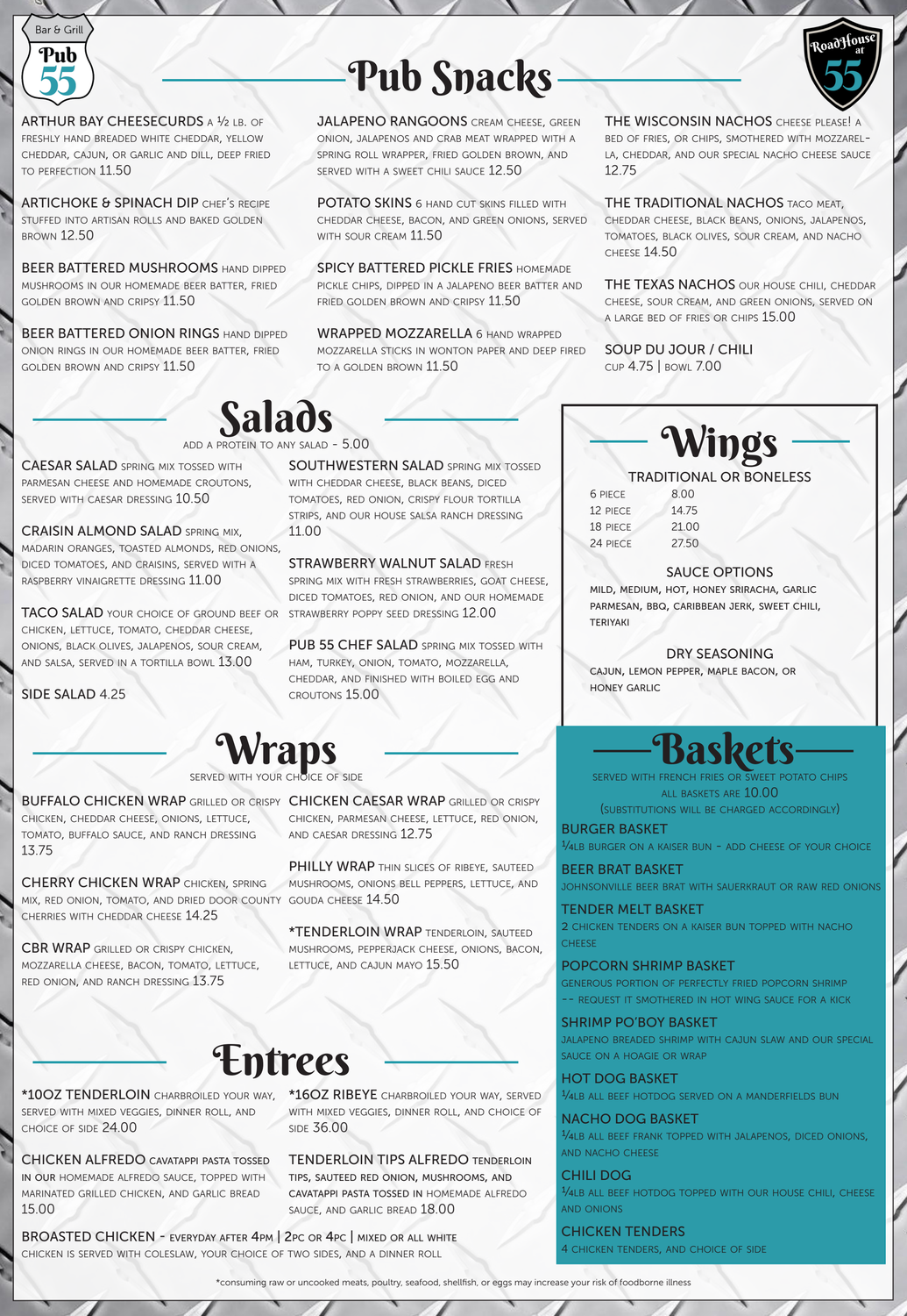

# Pub Snacks



ARTHUR BAY CHEESECURDS A  $1/2$  LB. OF freshly hand breaded white cheddar, yellow cheddar, cajun, or garlic and dill, deep fried to perfection 11.50

ARTICHOKE & SPINACH DIP CHEF'S RECIPE stuffed into artisan rolls and baked golden brown 12.50

**BEER BATTERED MUSHROOMS HAND DIPPED** mushrooms in our homemade beer batter, fried golden brown and cripsy 11.50

**BEER BATTERED ONION RINGS HAND DIPPED** onion rings in our homemade beer batter, fried golden brown and cripsy 11.50

JALAPENO RANGOONS CREAM CHEESE, GREEN onion, jalapenos and crab meat wrapped with a spring roll wrapper, fried golden brown, and served with <sup>a</sup> sweet chili sauce 12.50

POTATO SKINS 6 HAND CUT SKINS FILLED WITH cheddar cheese, bacon, and green onions, served with sour cream 11.50

SPICY BATTERED PICKLE FRIES HOMEMADE pickle chips, dipped in <sup>a</sup> jalapeno beer batter and FRIED GOLDEN BROWN AND CRIPSY 11.50

WRAPPED MOZZARELLA 6 HAND WRAPPED mozzarella sticks in wonton paper and deep fired to <sup>a</sup> golden brown 11.50

THE TRADITIONAL NACHOS TACO MEAT, cheddar cheese, black beans, onions, jalapenos, tomatoes, black olives, sour cream, and nacho cheese 14.50

THE TEXAS NACHOS OUR HOUSE CHILI, CHEDDAR cheese, sour cream, and green onions, served on <sup>a</sup> large bed of fries or chips 15.00

TACO SALAD YOUR CHOICE OF GROUND BEEF OR chicken, lettuce, tomato, cheddar cheese, onions, black olives, jalapenos, sour cream, and salsa, served in <sup>a</sup> tortilla bowl 13.00

**SOUTHWESTERN SALAD SPRING MIX TOSSED** with cheddar cheese, black beans, diced tomatoes, red onion, crispy flour tortilla strips, and our house salsa ranch dressing 11.00

THE WISCONSIN NACHOS cheese please! a bed of fries, or chips, smothered with mozzarella, cheddar, and our special nacho cheese sauce 12.75

PUB 55 CHEF SALAD SPRING MIX TOSSED WITH ham, turkey, onion, tomato, mozzarella, cheddar, and finished with boiled egg and croutons 15.00

### raps

 $\,$  served with your choice of side

SOUP DU JOUR / CHILI cup 4.75 | bowl 7.00



CAESAR SALAD spring mix tossed with parmesan cheese and homemade croutons, served with caesar dressing 10.50

CRAISIN ALMOND SALAD spring mix, madarin oranges, toasted almonds, red onions, diced tomatoes, and craisins, served with <sup>a</sup> raspberry vinaigrette dressing 11.00

BUFFALO CHICKEN WRAP GRILLED OR CRISPY CHICKEN CAESAR WRAP GRILLED OR CRISPY chicken, parmesan cheese, lettuce, red onion, and caesar dressing 12.75

> PHILLY WRAP THIN SLICES OF RIBEYE, SAUTEED mushrooms, onions bell peppers, lettuce, and

\*16OZ RIBEYE charbroiled your way, served with mixed veggies, dinner roll, and choice of **SIDE 36.00** 

SIDE SALAD 4.25

STRAWBERRY WALNUT SALAD fresh

TENDER MELT BASKET 2 chicken tenders on <sup>a</sup> kaiser bun topped with nacho **CHEESE** 

spring mix with fresh strawberries, goat cheese, diced tomatoes, red onion, and our homemade strawberry poppy seed dressing 12.00

> generous portion of perfectly fried popcorn shrimp -- REQUEST IT SMOTHERED IN HOT WING SAUCE FOR A KICK

#### TRADITIONAL OR BONELESS 6 piece 8.00

**Wings** 

12 piece 14.75 18 piece 21.00 24 piece 27.50

### SAUCE OPTIONS

mild, medium, hot, honey sriracha, garlic parmesan, bbq, caribbean jerk, sweet chili, teriyaki

DRY SEASONING

cajun, lemon pepper, maple bacon, or honey garlic

chicken, cheddar cheese, onions, lettuce, tomato, buffalo sauce, and ranch dressing 13.75

CHERRY CHICKEN WRAP chicken, spring mix, red onion, tomato, and dried door county  $\,$  gouda cheese  $14.50$ cherries with cheddar cheese 14.25

CBR WRAP grilled or crispy chicken, mozzarella cheese, bacon, tomato, lettuce, red onion, and ranch dressing 13.75

add <sup>a</sup> protein to any salad - 5.00

\*consuming raw or uncooked meats, poultry, seafood, shellfish, or eggs may increase your risk of foodborne illness

\*TENDERLOIN WRAP tenderloin, sauteed mushrooms, pepperjack cheese, onions, bacon, lettuce, and cajun mayo 15.50

### Entrees

\*10OZ TENDERLOIN charbroiled your way, served with mixed veggies, dinner roll, and choice of side 24.00

CHICKEN ALFREDO cavatappi pasta tossed in our homemade alfredo sauce, topped with marinated grilled chicken, and garlic bread 15.00

TENDERLOIN TIPS ALFREDO tenderloin tips, sauteed red onion, mushrooms, and cavatappi pasta tossed in homemade alfredo sauce, and garlic bread 18.00

BROASTED CHICKEN - everyday after 4pm | 2pc or 4pc | mixed or all white chicken is served with coleslaw, your choice of two sides, and a dinner roll

## Baskets

BURGER BASKET

1/4lb burger on <sup>a</sup> kaiser bun - add cheese of your choice

BEER BRAT BASKET

johnsonville beer brat with sauerkraut or raw red onions

#### POPCORN SHRIMP BASKET

SHRIMP PO'BOY BASKET jalapeno breaded shrimp with cajun slaw and our special sauce on a hoagie or wrap HOT DOG BASKET 1/4lb all beef hotdog served on <sup>a</sup> manderfields bun NACHO DOG BASKET 1/4lb all beef frank topped with jalapenos, diced onions, and nacho cheese CHILI DOG 1/4lb all beef hotdog topped with our house chili, cheese and onions CHICKEN TENDERS 4 chicken tenders, and choice of side

served with french fries or sweet potato chips all baskets are 10.00

(substitutions will be charged accordingly)